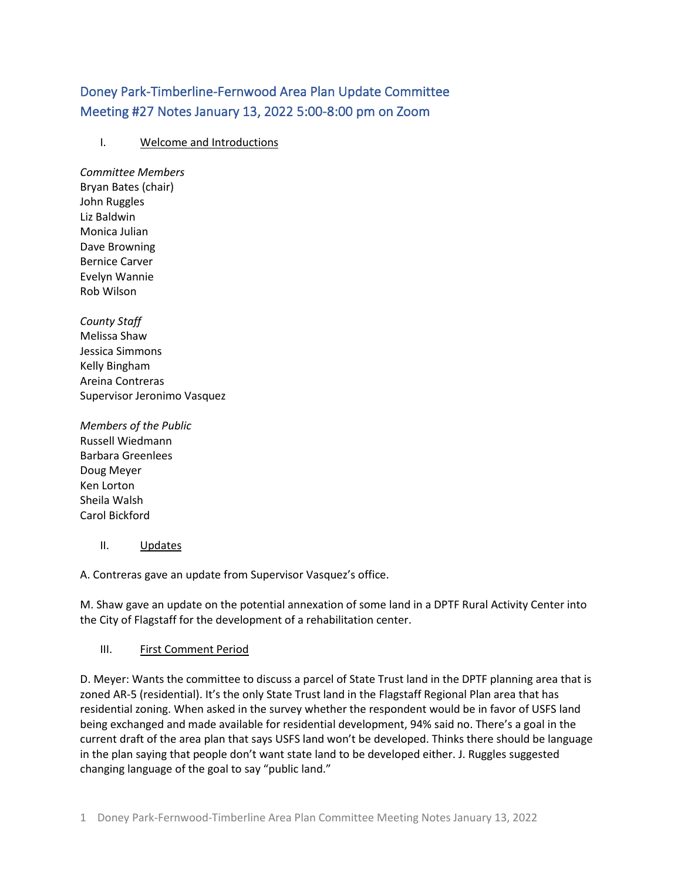# Doney Park-Timberline-Fernwood Area Plan Update Committee Meeting #27 Notes January 13, 2022 5:00-8:00 pm on Zoom

## I. Welcome and Introductions

*Committee Members* Bryan Bates (chair) John Ruggles Liz Baldwin Monica Julian Dave Browning Bernice Carver Evelyn Wannie Rob Wilson

*County Staff* Melissa Shaw Jessica Simmons Kelly Bingham Areina Contreras Supervisor Jeronimo Vasquez

*Members of the Public* Russell Wiedmann Barbara Greenlees Doug Meyer Ken Lorton Sheila Walsh Carol Bickford

#### II. Updates

A. Contreras gave an update from Supervisor Vasquez's office.

M. Shaw gave an update on the potential annexation of some land in a DPTF Rural Activity Center into the City of Flagstaff for the development of a rehabilitation center.

#### III. First Comment Period

D. Meyer: Wants the committee to discuss a parcel of State Trust land in the DPTF planning area that is zoned AR-5 (residential). It's the only State Trust land in the Flagstaff Regional Plan area that has residential zoning. When asked in the survey whether the respondent would be in favor of USFS land being exchanged and made available for residential development, 94% said no. There's a goal in the current draft of the area plan that says USFS land won't be developed. Thinks there should be language in the plan saying that people don't want state land to be developed either. J. Ruggles suggested changing language of the goal to say "public land."